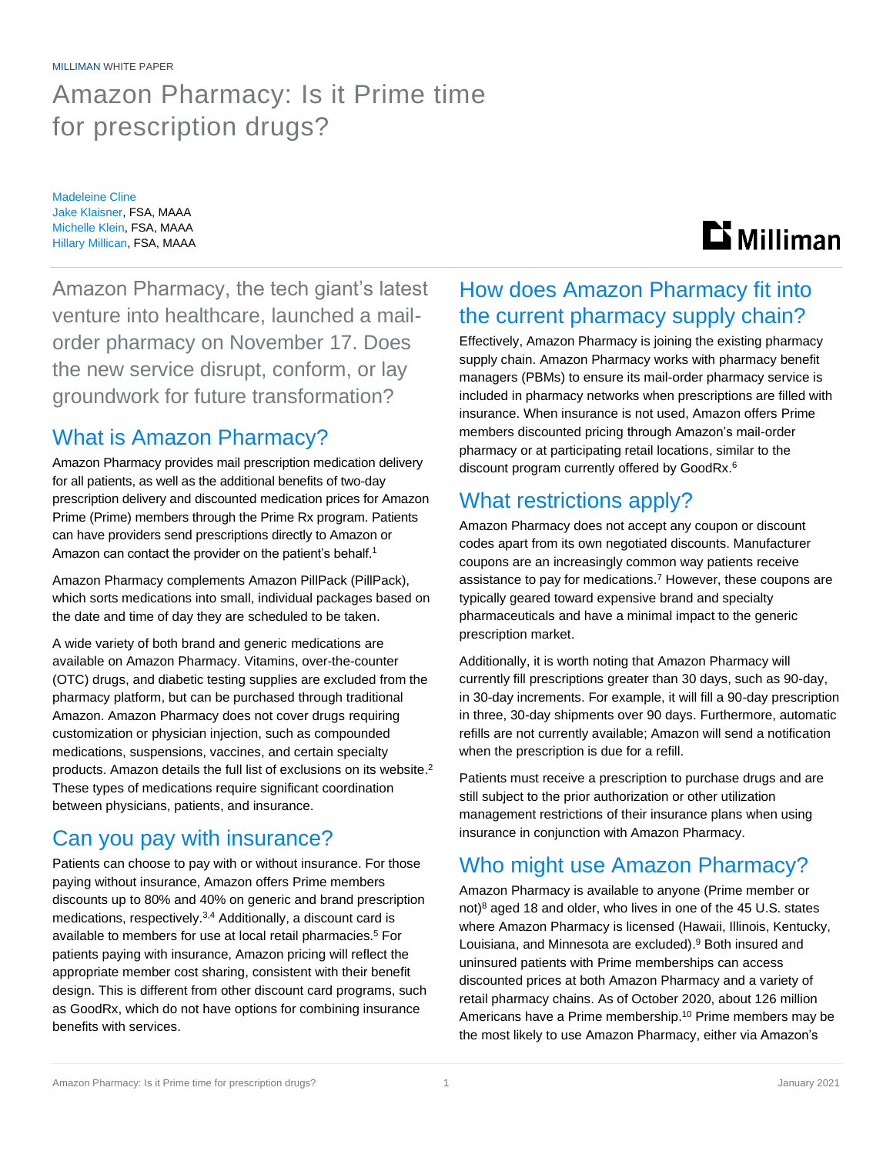MILLIMAN WHITE PAPER

# Amazon Pharmacy: Is it Prime time for prescription drugs?

Madeleine Cline Jake Klaisner, FSA, MAAA Michelle Klein, FSA, MAAA Hillary Millican, FSA, MAAA

# $\mathbf{D}$  Milliman

Amazon Pharmacy, the tech giant's latest venture into healthcare, launched a mailorder pharmacy on November 17. Does the new service disrupt, conform, or lay groundwork for future transformation?

# What is Amazon Pharmacy?

Amazon Pharmacy provides mail prescription medication delivery for all patients, as well as the additional benefits of two-day prescription delivery and discounted medication prices for Amazon Prime (Prime) members through the Prime Rx program. Patients can have providers send prescriptions directly to Amazon or Amazon can contact the provider on the patient's behalf.<sup>1</sup>

Amazon Pharmacy complements Amazon PillPack (PillPack), which sorts medications into small, individual packages based on the date and time of day they are scheduled to be taken.

A wide variety of both brand and generic medications are available on Amazon Pharmacy. Vitamins, over-the-counter (OTC) drugs, and diabetic testing supplies are excluded from the pharmacy platform, but can be purchased through traditional Amazon. Amazon Pharmacy does not cover drugs requiring customization or physician injection, such as compounded medications, suspensions, vaccines, and certain specialty products. Amazon details the full list of exclusions on its website.<sup>2</sup> These types of medications require significant coordination between physicians, patients, and insurance.

# Can you pay with insurance?

Patients can choose to pay with or without insurance. For those paying without insurance, Amazon offers Prime members discounts up to 80% and 40% on generic and brand prescription medications, respectively.3,4 Additionally, a discount card is available to members for use at local retail pharmacies.<sup>5</sup> For patients paying with insurance, Amazon pricing will reflect the appropriate member cost sharing, consistent with their benefit design. This is different from other discount card programs, such as GoodRx, which do not have options for combining insurance benefits with services.

# How does Amazon Pharmacy fit into the current pharmacy supply chain?

Effectively, Amazon Pharmacy is joining the existing pharmacy supply chain. Amazon Pharmacy works with pharmacy benefit managers (PBMs) to ensure its mail-order pharmacy service is included in pharmacy networks when prescriptions are filled with insurance. When insurance is not used, Amazon offers Prime members discounted pricing through Amazon's mail-order pharmacy or at participating retail locations, similar to the discount program currently offered by GoodRx.<sup>6</sup>

# What restrictions apply?

Amazon Pharmacy does not accept any coupon or discount codes apart from its own negotiated discounts. Manufacturer coupons are an increasingly common way patients receive assistance to pay for medications.<sup>7</sup> However, these coupons are typically geared toward expensive brand and specialty pharmaceuticals and have a minimal impact to the generic prescription market.

Additionally, it is worth noting that Amazon Pharmacy will currently fill prescriptions greater than 30 days, such as 90-day, in 30-day increments. For example, it will fill a 90-day prescription in three, 30-day shipments over 90 days. Furthermore, automatic refills are not currently available; Amazon will send a notification when the prescription is due for a refill.

Patients must receive a prescription to purchase drugs and are still subject to the prior authorization or other utilization management restrictions of their insurance plans when using insurance in conjunction with Amazon Pharmacy.

# Who might use Amazon Pharmacy?

Amazon Pharmacy is available to anyone (Prime member or not)<sup>8</sup> aged 18 and older, who lives in one of the 45 U.S. states where Amazon Pharmacy is licensed (Hawaii, Illinois, Kentucky, Louisiana, and Minnesota are excluded). <sup>9</sup> Both insured and uninsured patients with Prime memberships can access discounted prices at both Amazon Pharmacy and a variety of retail pharmacy chains. As of October 2020, about 126 million Americans have a Prime membership. <sup>10</sup> Prime members may be the most likely to use Amazon Pharmacy, either via Amazon's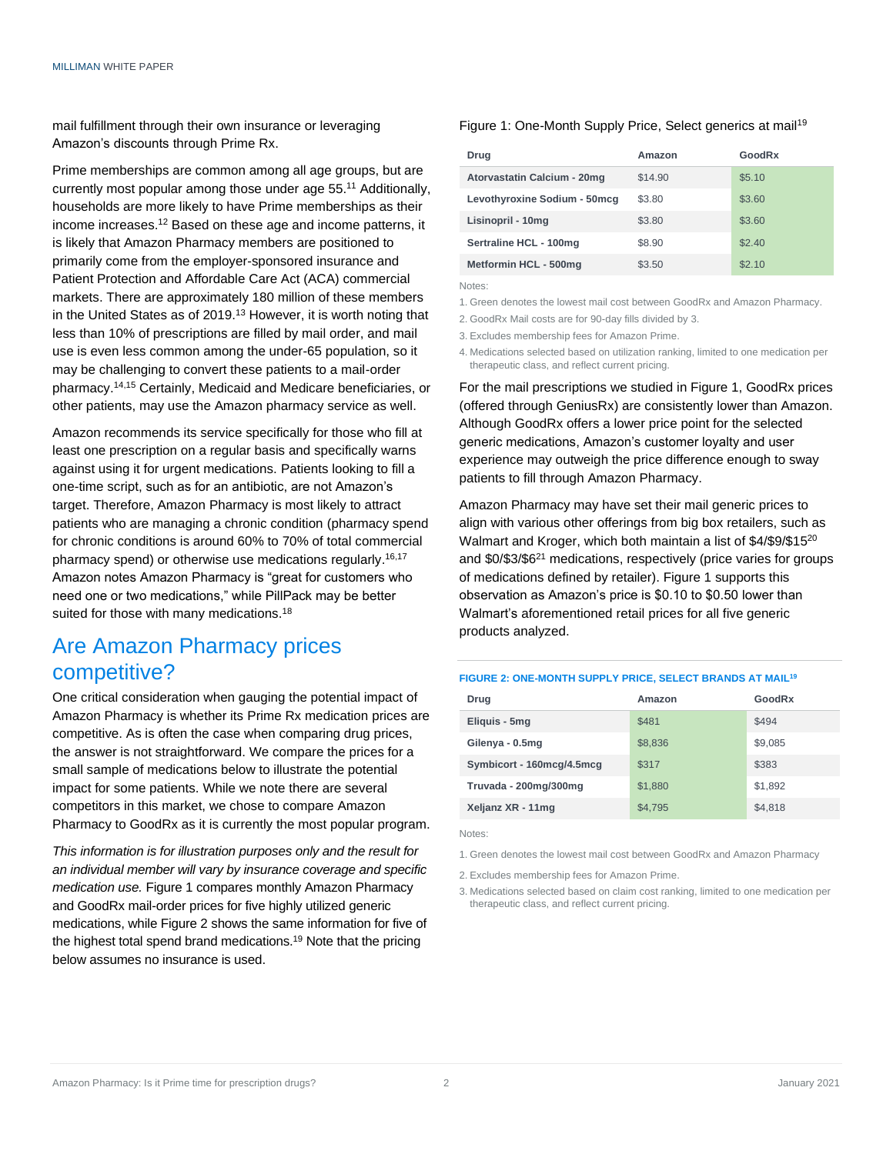mail fulfillment through their own insurance or leveraging Amazon's discounts through Prime Rx.

Prime memberships are common among all age groups, but are currently most popular among those under age 55.<sup>11</sup> Additionally, households are more likely to have Prime memberships as their income increases. <sup>12</sup> Based on these age and income patterns, it is likely that Amazon Pharmacy members are positioned to primarily come from the employer-sponsored insurance and Patient Protection and Affordable Care Act (ACA) commercial markets. There are approximately 180 million of these members in the United States as of 2019.<sup>13</sup> However, it is worth noting that less than 10% of prescriptions are filled by mail order, and mail use is even less common among the under-65 population, so it may be challenging to convert these patients to a mail-order pharmacy. 14,15 Certainly, Medicaid and Medicare beneficiaries, or other patients, may use the Amazon pharmacy service as well.

Amazon recommends its service specifically for those who fill at least one prescription on a regular basis and specifically warns against using it for urgent medications. Patients looking to fill a one-time script, such as for an antibiotic, are not Amazon's target. Therefore, Amazon Pharmacy is most likely to attract patients who are managing a chronic condition (pharmacy spend for chronic conditions is around 60% to 70% of total commercial pharmacy spend) or otherwise use medications regularly. 16,17 Amazon notes Amazon Pharmacy is "great for customers who need one or two medications," while PillPack may be better suited for those with many medications.<sup>18</sup>

## Are Amazon Pharmacy prices competitive?

One critical consideration when gauging the potential impact of Amazon Pharmacy is whether its Prime Rx medication prices are competitive. As is often the case when comparing drug prices, the answer is not straightforward. We compare the prices for a small sample of medications below to illustrate the potential impact for some patients. While we note there are several competitors in this market, we chose to compare Amazon Pharmacy to GoodRx as it is currently the most popular program.

*This information is for illustration purposes only and the result for an individual member will vary by insurance coverage and specific medication use.* Figure 1 compares monthly Amazon Pharmacy and GoodRx mail-order prices for five highly utilized generic medications, while Figure 2 shows the same information for five of the highest total spend brand medications.<sup>19</sup> Note that the pricing below assumes no insurance is used.

### Figure 1: One-Month Supply Price, Select generics at mail<sup>19</sup>

| Drug                         | Amazon  | GoodRx |
|------------------------------|---------|--------|
| Atorvastatin Calcium - 20mg  | \$14.90 | \$5.10 |
| Levothyroxine Sodium - 50mcg | \$3.80  | \$3.60 |
| Lisinopril - 10mg            | \$3.80  | \$3.60 |
| Sertraline HCL - 100mg       | \$8.90  | \$2.40 |
| Metformin HCL - 500mg        | \$3.50  | \$2.10 |

Notes:

- 1. Green denotes the lowest mail cost between GoodRx and Amazon Pharmacy.
- 2. GoodRx Mail costs are for 90-day fills divided by 3.
- 3. Excludes membership fees for Amazon Prime.
- 4. Medications selected based on utilization ranking, limited to one medication per therapeutic class, and reflect current pricing.

For the mail prescriptions we studied in Figure 1, GoodRx prices (offered through GeniusRx) are consistently lower than Amazon. Although GoodRx offers a lower price point for the selected generic medications, Amazon's customer loyalty and user experience may outweigh the price difference enough to sway patients to fill through Amazon Pharmacy.

Amazon Pharmacy may have set their mail generic prices to align with various other offerings from big box retailers, such as Walmart and Kroger, which both maintain a list of \$4/\$9/\$15<sup>20</sup> and \$0/\$3/\$6<sup>21</sup> medications, respectively (price varies for groups of medications defined by retailer). Figure 1 supports this observation as Amazon's price is \$0.10 to \$0.50 lower than Walmart's aforementioned retail prices for all five generic products analyzed.

#### **FIGURE 2: ONE-MONTH SUPPLY PRICE, SELECT BRANDS AT MAIL<sup>19</sup>**

| Drug                      | Amazon  | GoodRx  |
|---------------------------|---------|---------|
| Eliquis - 5mg             | \$481   | \$494   |
| Gilenya - 0.5mg           | \$8,836 | \$9,085 |
| Symbicort - 160mcg/4.5mcg | \$317   | \$383   |
| Truvada - 200mg/300mg     | \$1,880 | \$1,892 |
| Xeljanz XR - 11mg         | \$4,795 | \$4,818 |

Notes:

1. Green denotes the lowest mail cost between GoodRx and Amazon Pharmacy

- 2. Excludes membership fees for Amazon Prime.
- 3. Medications selected based on claim cost ranking, limited to one medication per therapeutic class, and reflect current pricing.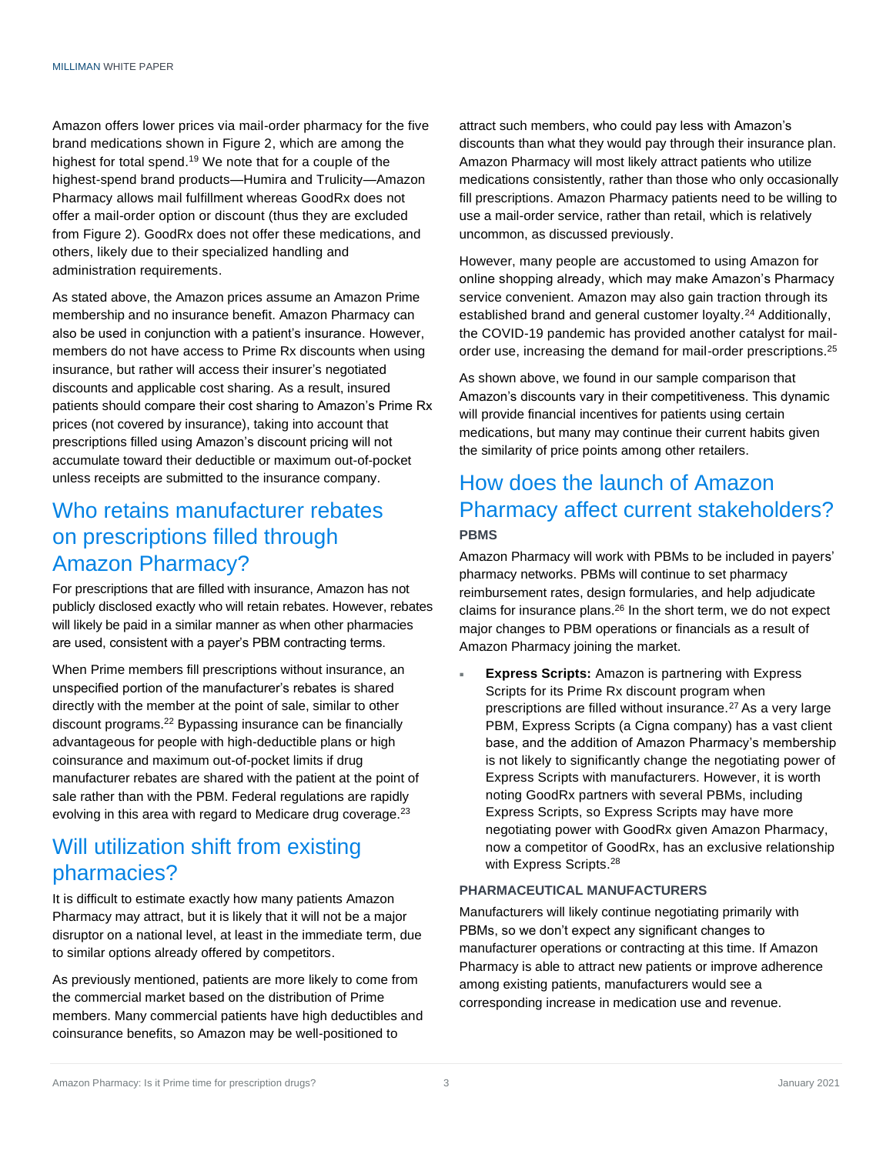Amazon offers lower prices via mail-order pharmacy for the five brand medications shown in Figure 2, which are among the highest for total spend.<sup>19</sup> We note that for a couple of the highest-spend brand products—Humira and Trulicity—Amazon Pharmacy allows mail fulfillment whereas GoodRx does not offer a mail-order option or discount (thus they are excluded from Figure 2). GoodRx does not offer these medications, and others, likely due to their specialized handling and administration requirements.

As stated above, the Amazon prices assume an Amazon Prime membership and no insurance benefit. Amazon Pharmacy can also be used in conjunction with a patient's insurance. However, members do not have access to Prime Rx discounts when using insurance, but rather will access their insurer's negotiated discounts and applicable cost sharing. As a result, insured patients should compare their cost sharing to Amazon's Prime Rx prices (not covered by insurance), taking into account that prescriptions filled using Amazon's discount pricing will not accumulate toward their deductible or maximum out-of-pocket unless receipts are submitted to the insurance company.

## Who retains manufacturer rebates on prescriptions filled through Amazon Pharmacy?

For prescriptions that are filled with insurance, Amazon has not publicly disclosed exactly who will retain rebates. However, rebates will likely be paid in a similar manner as when other pharmacies are used, consistent with a payer's PBM contracting terms.

When Prime members fill prescriptions without insurance, an unspecified portion of the manufacturer's rebates is shared directly with the member at the point of sale, similar to other discount programs.<sup>22</sup> Bypassing insurance can be financially advantageous for people with high-deductible plans or high coinsurance and maximum out-of-pocket limits if drug manufacturer rebates are shared with the patient at the point of sale rather than with the PBM. Federal regulations are rapidly evolving in this area with regard to Medicare drug coverage.<sup>23</sup>

## Will utilization shift from existing pharmacies?

It is difficult to estimate exactly how many patients Amazon Pharmacy may attract, but it is likely that it will not be a major disruptor on a national level, at least in the immediate term, due to similar options already offered by competitors.

As previously mentioned, patients are more likely to come from the commercial market based on the distribution of Prime members. Many commercial patients have high deductibles and coinsurance benefits, so Amazon may be well-positioned to

attract such members, who could pay less with Amazon's discounts than what they would pay through their insurance plan. Amazon Pharmacy will most likely attract patients who utilize medications consistently, rather than those who only occasionally fill prescriptions. Amazon Pharmacy patients need to be willing to use a mail-order service, rather than retail, which is relatively uncommon, as discussed previously.

However, many people are accustomed to using Amazon for online shopping already, which may make Amazon's Pharmacy service convenient. Amazon may also gain traction through its established brand and general customer lovalty.<sup>24</sup> Additionally, the COVID-19 pandemic has provided another catalyst for mailorder use, increasing the demand for mail-order prescriptions.<sup>25</sup>

As shown above, we found in our sample comparison that Amazon's discounts vary in their competitiveness. This dynamic will provide financial incentives for patients using certain medications, but many may continue their current habits given the similarity of price points among other retailers.

## How does the launch of Amazon Pharmacy affect current stakeholders? **PBMS**

Amazon Pharmacy will work with PBMs to be included in payers' pharmacy networks. PBMs will continue to set pharmacy reimbursement rates, design formularies, and help adjudicate claims for insurance plans.<sup>26</sup> In the short term, we do not expect major changes to PBM operations or financials as a result of Amazon Pharmacy joining the market.

 **Express Scripts:** Amazon is partnering with Express Scripts for its Prime Rx discount program when prescriptions are filled without insurance.<sup>27</sup> As a very large PBM, Express Scripts (a Cigna company) has a vast client base, and the addition of Amazon Pharmacy's membership is not likely to significantly change the negotiating power of Express Scripts with manufacturers. However, it is worth noting GoodRx partners with several PBMs, including Express Scripts, so Express Scripts may have more negotiating power with GoodRx given Amazon Pharmacy, now a competitor of GoodRx, has an exclusive relationship with Express Scripts.<sup>28</sup>

### **PHARMACEUTICAL MANUFACTURERS**

Manufacturers will likely continue negotiating primarily with PBMs, so we don't expect any significant changes to manufacturer operations or contracting at this time. If Amazon Pharmacy is able to attract new patients or improve adherence among existing patients, manufacturers would see a corresponding increase in medication use and revenue.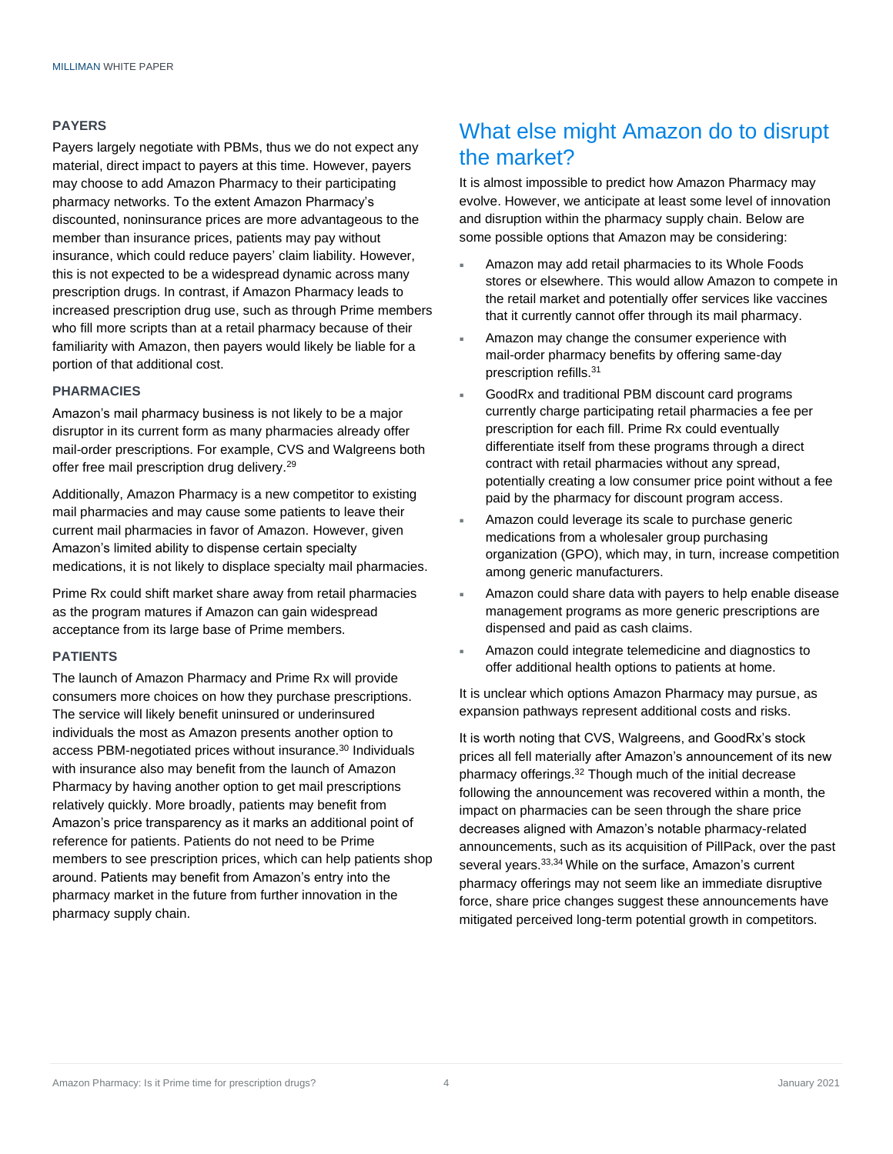#### **PAYERS**

Payers largely negotiate with PBMs, thus we do not expect any material, direct impact to payers at this time. However, payers may choose to add Amazon Pharmacy to their participating pharmacy networks. To the extent Amazon Pharmacy's discounted, noninsurance prices are more advantageous to the member than insurance prices, patients may pay without insurance, which could reduce payers' claim liability. However, this is not expected to be a widespread dynamic across many prescription drugs. In contrast, if Amazon Pharmacy leads to increased prescription drug use, such as through Prime members who fill more scripts than at a retail pharmacy because of their familiarity with Amazon, then payers would likely be liable for a portion of that additional cost.

#### **PHARMACIES**

Amazon's mail pharmacy business is not likely to be a major disruptor in its current form as many pharmacies already offer mail-order prescriptions. For example, CVS and Walgreens both offer free mail prescription drug delivery.<sup>29</sup>

Additionally, Amazon Pharmacy is a new competitor to existing mail pharmacies and may cause some patients to leave their current mail pharmacies in favor of Amazon. However, given Amazon's limited ability to dispense certain specialty medications, it is not likely to displace specialty mail pharmacies.

Prime Rx could shift market share away from retail pharmacies as the program matures if Amazon can gain widespread acceptance from its large base of Prime members.

### **PATIENTS**

The launch of Amazon Pharmacy and Prime Rx will provide consumers more choices on how they purchase prescriptions. The service will likely benefit uninsured or underinsured individuals the most as Amazon presents another option to access PBM-negotiated prices without insurance.<sup>30</sup> Individuals with insurance also may benefit from the launch of Amazon Pharmacy by having another option to get mail prescriptions relatively quickly. More broadly, patients may benefit from Amazon's price transparency as it marks an additional point of reference for patients. Patients do not need to be Prime members to see prescription prices, which can help patients shop around. Patients may benefit from Amazon's entry into the pharmacy market in the future from further innovation in the pharmacy supply chain.

## What else might Amazon do to disrupt the market?

It is almost impossible to predict how Amazon Pharmacy may evolve. However, we anticipate at least some level of innovation and disruption within the pharmacy supply chain. Below are some possible options that Amazon may be considering:

- Amazon may add retail pharmacies to its Whole Foods stores or elsewhere. This would allow Amazon to compete in the retail market and potentially offer services like vaccines that it currently cannot offer through its mail pharmacy.
- Amazon may change the consumer experience with mail-order pharmacy benefits by offering same-day prescription refills.<sup>31</sup>
- GoodRx and traditional PBM discount card programs currently charge participating retail pharmacies a fee per prescription for each fill. Prime Rx could eventually differentiate itself from these programs through a direct contract with retail pharmacies without any spread, potentially creating a low consumer price point without a fee paid by the pharmacy for discount program access.
- Amazon could leverage its scale to purchase generic medications from a wholesaler group purchasing organization (GPO), which may, in turn, increase competition among generic manufacturers.
- Amazon could share data with payers to help enable disease management programs as more generic prescriptions are dispensed and paid as cash claims.
- Amazon could integrate telemedicine and diagnostics to offer additional health options to patients at home.

It is unclear which options Amazon Pharmacy may pursue, as expansion pathways represent additional costs and risks.

It is worth noting that CVS, Walgreens, and GoodRx's stock prices all fell materially after Amazon's announcement of its new pharmacy offerings.<sup>32</sup> Though much of the initial decrease following the announcement was recovered within a month, the impact on pharmacies can be seen through the share price decreases aligned with Amazon's notable pharmacy-related announcements, such as its acquisition of PillPack, over the past several years.<sup>33,34</sup> While on the surface, Amazon's current pharmacy offerings may not seem like an immediate disruptive force, share price changes suggest these announcements have mitigated perceived long-term potential growth in competitors.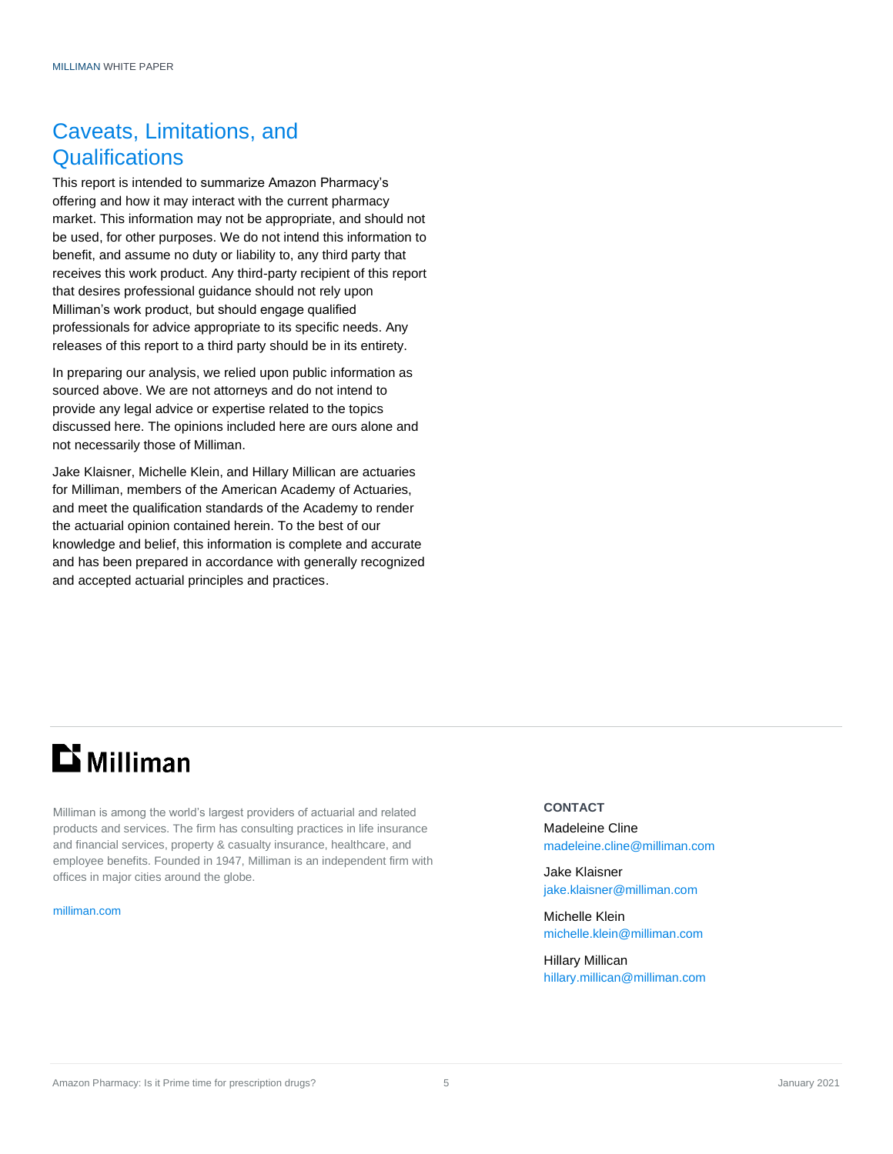## Caveats, Limitations, and **Qualifications**

This report is intended to summarize Amazon Pharmacy's offering and how it may interact with the current pharmacy market. This information may not be appropriate, and should not be used, for other purposes. We do not intend this information to benefit, and assume no duty or liability to, any third party that receives this work product. Any third-party recipient of this report that desires professional guidance should not rely upon Milliman's work product, but should engage qualified professionals for advice appropriate to its specific needs. Any releases of this report to a third party should be in its entirety.

In preparing our analysis, we relied upon public information as sourced above. We are not attorneys and do not intend to provide any legal advice or expertise related to the topics discussed here. The opinions included here are ours alone and not necessarily those of Milliman.

Jake Klaisner, Michelle Klein, and Hillary Millican are actuaries for Milliman, members of the American Academy of Actuaries, and meet the qualification standards of the Academy to render the actuarial opinion contained herein. To the best of our knowledge and belief, this information is complete and accurate and has been prepared in accordance with generally recognized and accepted actuarial principles and practices.

# **Li** Milliman

Milliman is among the world's largest providers of actuarial and related products and services. The firm has consulting practices in life insurance and financial services, property & casualty insurance, healthcare, and employee benefits. Founded in 1947, Milliman is an independent firm with offices in major cities around the globe.

[milliman.com](http://www.milliman.com/)

#### **CONTACT**

Madeleine Cline [madeleine.cline@milliman.com](mailto:madeleine.cline@milliman.com)

Jake Klaisner [jake.klaisner@milliman.com](mailto:jake.klaisner@milliman.com)

Michelle Klein [michelle.klein@milliman.com](mailto:michelle.klein@milliman.com)

Hillary Millican [hillary.millican@milliman.com](mailto:hillary.millican@milliman.com)